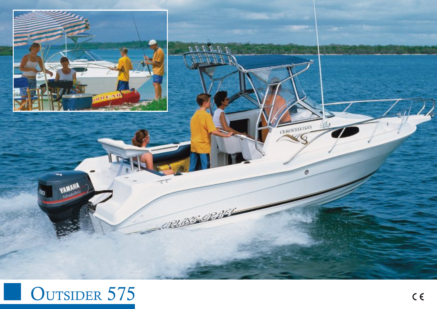

## OUTSIDER 575